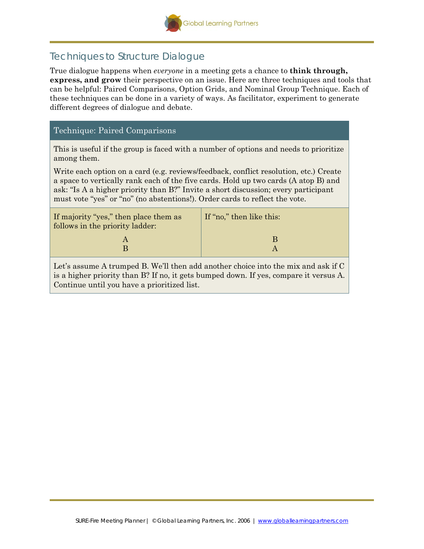

## Techniques to Structure Dialogue

True dialogue happens when *everyone* in a meeting gets a chance to **think through, express, and grow** their perspective on an issue. Here are three techniques and tools that can be helpful: Paired Comparisons, Option Grids, and Nominal Group Technique. Each of these techniques can be done in a variety of ways. As facilitator, experiment to generate different degrees of dialogue and debate.

## Technique: Paired Comparisons

This is useful if the group is faced with a number of options and needs to prioritize among them.

Write each option on a card (e.g. reviews/feedback, conflict resolution, etc.) Create a space to vertically rank each of the five cards. Hold up two cards (A atop B) and ask: "Is A a higher priority than B?" Invite a short discussion; every participant must vote "yes" or "no" (no abstentions!). Order cards to reflect the vote.

| If majority "yes," then place them as<br>follows in the priority ladder: | If "no," then like this: |
|--------------------------------------------------------------------------|--------------------------|
|                                                                          |                          |

Let's assume A trumped B. We'll then add another choice into the mix and ask if C is a higher priority than B? If no, it gets bumped down. If yes, compare it versus A. Continue until you have a prioritized list.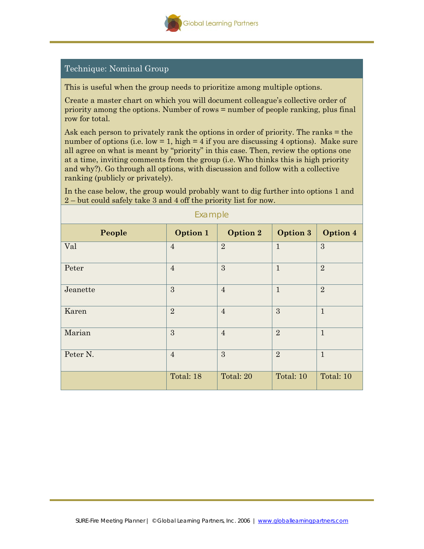

## Technique: Nominal Group

This is useful when the group needs to prioritize among multiple options.

Create a master chart on which you will document colleague's collective order of priority among the options. Number of rows = number of people ranking, plus final row for total.

Ask each person to privately rank the options in order of priority. The ranks = the number of options (i.e.  $low = 1$ , high  $= 4$  if you are discussing 4 options). Make sure all agree on what is meant by "priority" in this case. Then, review the options one at a time, inviting comments from the group (i.e. Who thinks this is high priority and why?). Go through all options, with discussion and follow with a collective ranking (publicly or privately).

| Endition |                |                 |                |                |  |  |  |
|----------|----------------|-----------------|----------------|----------------|--|--|--|
| People   | Option 1       | <b>Option 2</b> | Option 3       | Option 4       |  |  |  |
| Val      | $\overline{4}$ | $\overline{2}$  | $\mathbf{1}$   | 3              |  |  |  |
| Peter    | $\overline{4}$ | 3               | $\mathbf{1}$   | $\overline{2}$ |  |  |  |
| Jeanette | 3              | $\overline{4}$  | $\mathbf{1}$   | $\overline{2}$ |  |  |  |
| Karen    | $\overline{2}$ | $\overline{4}$  | 3              | $\mathbf{1}$   |  |  |  |
| Marian   | 3              | $\overline{4}$  | $\overline{2}$ | $\mathbf{1}$   |  |  |  |
| Peter N. | $\overline{4}$ | 3               | $\overline{2}$ | $\mathbf{1}$   |  |  |  |
|          | Total: 18      | Total: 20       | Total: 10      | Total: 10      |  |  |  |

In the case below, the group would probably want to dig further into options 1 and 2 – but could safely take 3 and 4 off the priority list for now.

Example